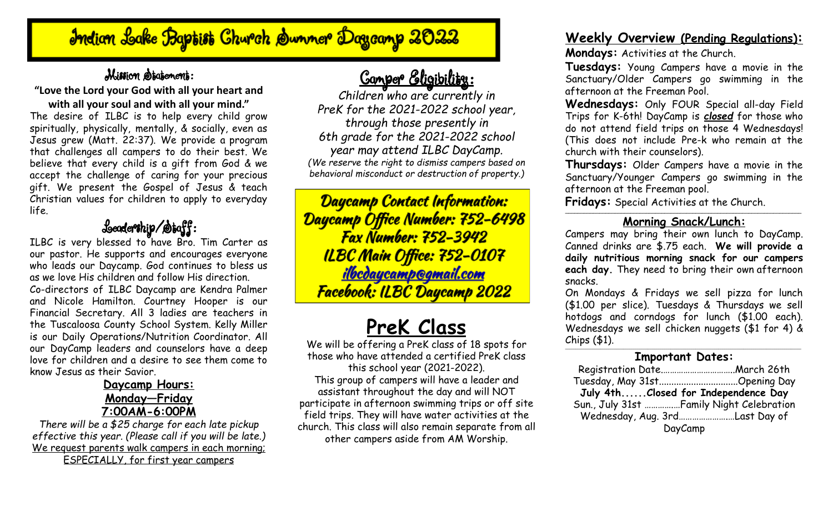# Indian Lake Baptist Church Summer Dagcamp 2022

## Mission Statement:

### **"Love the Lord your God with all your heart and with all your soul and with all your mind."** The desire of ILBC is to help every child grow spiritually, physically, mentally, & socially, even as Jesus grew (Matt. 22:37). We provide a program that challenges all campers to do their best. We believe that every child is a gift from God & we accept the challenge of caring for your precious gift. We present the Gospel of Jesus & teach Christian values for children to apply to everyday life.

# Leadership/Staff:

ILBC is very blessed to have Bro. Tim Carter as our pastor. He supports and encourages everyone who leads our Daycamp. God continues to bless us as we love His children and follow His direction. Co-directors of ILBC Daycamp are Kendra Palmer and Nicole Hamilton. Courtney Hooper is our Financial Secretary. All 3 ladies are teachers in the Tuscaloosa County School System. Kelly Miller is our Daily Operations/Nutrition Coordinator. All our DayCamp leaders and counselors have a deep love for children and a desire to see them come to know Jesus as their Savior.

### **Daycamp Hours: Monday—Friday 7:00AM-6:00PM**

*There will be a \$25 charge for each late pickup effective this year. (Please call if you will be late.)* We request parents walk campers in each morning; ESPECIALLY, for first year campers

# Camper Eligibility:

*Children who are currently in PreK for the 2021-2022 school year, through those presently in 6th grade for the 2021-2022 school year may attend ILBC DayCamp. (We reserve the right to dismiss campers based on behavioral misconduct or destruction of property.)*

Daycamp Contact Information: Daycamp Office Number: 752-6498 **Fax Number: 752-3942** ILBC Main Office: 752-0107 <u>ilbcdaycamp@gmail.com</u> Facebook: ILBC Daycamp 2022

# **PreK Class**

We will be offering a PreK class of 18 spots for those who have attended a certified PreK class this school year (2021-2022). This group of campers will have a leader and assistant throughout the day and will NOT participate in afternoon swimming trips or off site field trips. They will have water activities at the church. This class will also remain separate from all other campers aside from AM Worship.

## **Weekly Overview (Pending Regulations):**

**Mondays:** Activities at the Church.

**Tuesdays:** Young Campers have a movie in the Sanctuary/Older Campers go swimming in the afternoon at the Freeman Pool.

**Wednesdays:** Only FOUR Special all-day Field Trips for K-6th! DayCamp is *closed* for those who do not attend field trips on those 4 Wednesdays! (This does not include Pre-k who remain at the church with their counselors).

**Thursdays:** Older Campers have a movie in the Sanctuary/Younger Campers go swimming in the afternoon at the Freeman pool.

**Fridays:** Special Activities at the Church.

### \_\_\_\_\_\_\_\_\_\_\_\_\_\_\_\_\_\_\_\_\_\_\_\_\_\_\_\_\_\_\_\_\_\_\_\_\_\_\_\_\_\_\_\_\_\_\_\_\_\_\_\_\_\_\_\_\_\_\_\_\_\_\_\_\_\_\_\_\_\_\_\_\_\_\_\_ **Morning Snack/Lunch:**

Campers may bring their own lunch to DayCamp. Canned drinks are \$.75 each. **We will provide a daily nutritious morning snack for our campers each day.** They need to bring their own afternoon snacks.

On Mondays & Fridays we sell pizza for lunch (\$1.00 per slice). Tuesdays & Thursdays we sell hotdogs and corndogs for lunch (\$1.00 each). Wednesdays we sell chicken nuggets (\$1 for 4) & Chips (\$1).

#### \_\_\_\_\_\_\_\_\_\_\_\_\_\_\_\_\_\_\_\_\_\_\_\_\_\_\_\_\_\_\_\_\_\_\_\_\_\_\_\_\_\_\_\_\_\_\_\_\_\_\_\_\_\_\_\_\_\_\_\_\_\_\_\_\_\_\_\_\_\_\_\_\_\_\_\_\_\_\_\_\_\_\_\_\_\_\_\_\_\_\_\_\_\_\_\_\_\_\_\_\_\_\_\_\_\_\_\_\_\_\_\_\_\_ **Important Dates:**

| ____________________                      |  |
|-------------------------------------------|--|
|                                           |  |
| Tuesday, May 31stOpening Day              |  |
| July 4thClosed for Independence Day       |  |
| Sun., July 31st  Family Night Celebration |  |
| Wednesday, Aug. 3rdLast Day of            |  |
| DayCamp                                   |  |